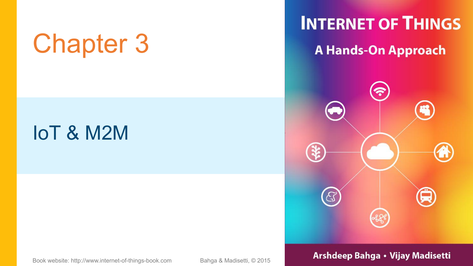# Chapter 3 A Hands-On Approach

### IoT & M2M

**INTERNET OF THINGS** 



#### Book website: http://www.internet-of-things-book.com Bahga & Madisetti, © 2015 **Arshdeep Bahga • Vijay Madisetti**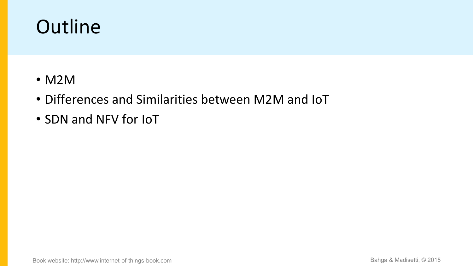### **Outline**

- M2M
- Differences and Similarities between M2M and IoT
- SDN and NFV for IoT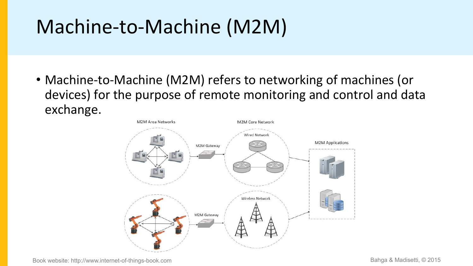## Machine-to-Machine (M2M)

• Machine-to-Machine (M2M) refers to networking of machines (or devices) for the purpose of remote monitoring and control and data exchange.

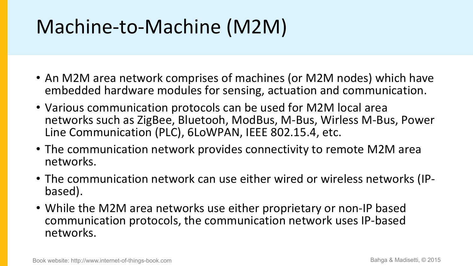## Machine-to-Machine (M2M)

- An M2M area network comprises of machines (or M2M nodes) which have embedded hardware modules for sensing, actuation and communication.
- Various communication protocols can be used for M2M local area networks such as ZigBee, Bluetooh, ModBus, M-Bus, Wirless M-Bus, Power Line Communication (PLC), 6LoWPAN, IEEE 802.15.4, etc.
- The communication network provides connectivity to remote M2M area networks.
- The communication network can use either wired or wireless networks (IP-<br>based).
- While the M2M area networks use either proprietary or non-IP based communication protocols, the communication network uses IP-based networks.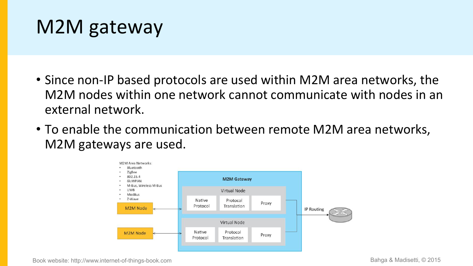### M2M gateway

- Since non-IP based protocols are used within M2M area networks, the M2M nodes within one network cannot communicate with nodes in an external network.
- To enable the communication between remote M2M area networks, M2M gateways are used.



Book website: http://www.internet-of-things-book.com Bahga & Madisetti, © 2015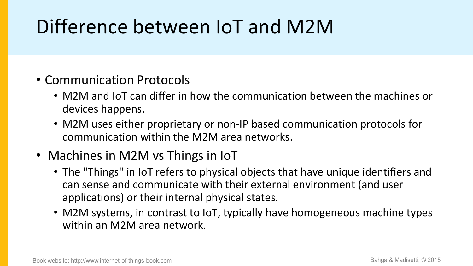## Difference between IoT and M2M

### • Communication Protocols

- M2M and IoT can differ in how the communication between the machines or devices happens.
- M2M uses either proprietary or non-IP based communication protocols for communication within the M2M area networks.

### • Machines in M2M vs Things in IoT

- The "Things" in IoT refers to physical objects that have unique identifiers and can sense and communicate with their external environment (and user applications) or their internal physical states.
- M2M systems, in contrast to IoT, typically have homogeneous machine types within an M2M area network.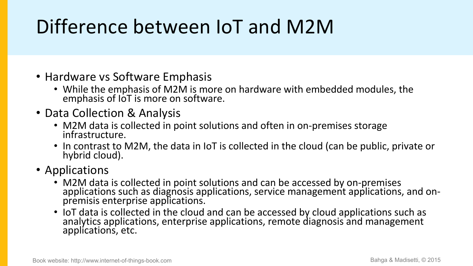## Difference between IoT and M2M

- Hardware vs Software Emphasis
	- While the emphasis of M2M is more on hardware with embedded modules, the emphasis of IoT is more on software.
- Data Collection & Analysis
	- M2M data is collected in point solutions and often in on-premises storage infrastructure.
	- In contrast to M2M, the data in IoT is collected in the cloud (can be public, private or hybrid cloud).
- Applications
	- M2M data is collected in point solutions and can be accessed by on-premises applications such as diagnosis applications, service management applications, and on-<br>premisis enterprise applications.
	- IoT data is collected in the cloud and can be accessed by cloud applications such as analytics applications, enterprise applications, remote diagnosis and management applications, etc.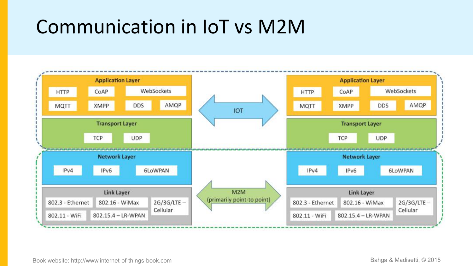### Communication in IoT vs M2M

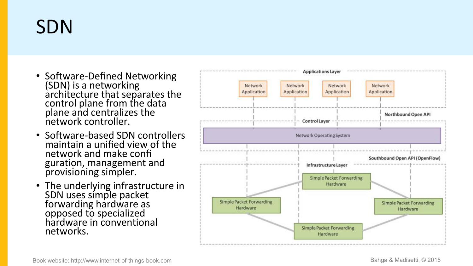### SDN

- Software-Defined Networking<br>
(SDN) is a networking<br>
architecture that separates the<br>
control plane from the data<br>
plane and centralizes the<br>
network controller.
- Software-based SDN controllers<br>maintain a unified view of the<br>network and make confi<br>guration, management and<br>provisioning simpler.
- The underlying infrastructure in<br>
SDN uses simple packet<br>
forwarding hardware as<br>
opposed to specialized<br>
hardware in conventional<br>
networks.

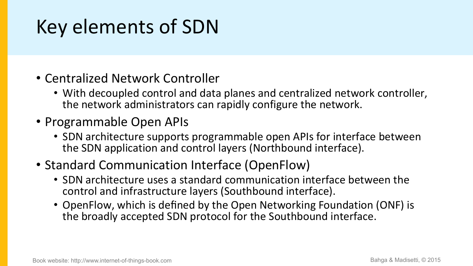### Key elements of SDN

- Centralized Network Controller
	- With decoupled control and data planes and centralized network controller, the network administrators can rapidly configure the network.
- Programmable Open APIs
	- SDN architecture supports programmable open APIs for interface between the SDN application and control layers (Northbound interface).
- Standard Communication Interface (OpenFlow)
	- SDN architecture uses a standard communication interface between the control and infrastructure layers (Southbound interface).
	- OpenFlow, which is defined by the Open Networking Foundation (ONF) is the broadly accepted SDN protocol for the Southbound interface.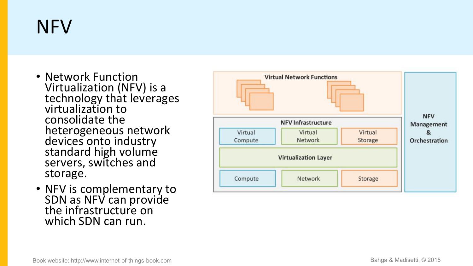## NFV

- Network Function<br>
Virtualization (NFV) is a<br>
technology that leverages<br>
virtualization to<br>
consolidate the<br>
heterogeneous network<br>
devices onto industry<br>
standard high volume<br>
servers, switches and<br>
storage.
- NFV is complementary to<br>SDN as NFV can provide<br>the infrastructure on<br>which SDN can run.

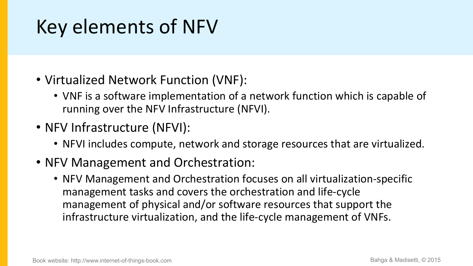### Key elements of NFV

- Virtualized Network Function (VNF):
	- VNF is a software implementation of a network function which is capable of running over the NFV Infrastructure (NFVI).
- NFV Infrastructure (NFVI):
	- NFVI includes compute, network and storage resources that are virtualized.
- NFV Management and Orchestration:
	- NFV Management and Orchestration focuses on all virtualization-specific management tasks and covers the orchestration and life-cycle management of physical and/or software resources that support the infrastructure virtualization, and the life-cycle management of VNFs.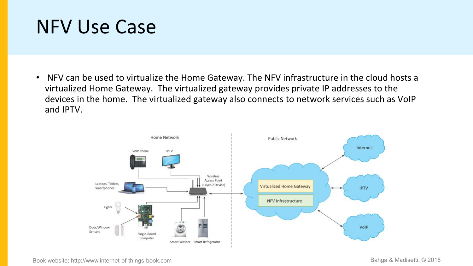### NFV Use Case

• NFV can be used to virtualize the Home Gateway. The NFV infrastructure in the cloud hosts a virtualized Home Gateway. The virtualized gateway provides private IP addresses to the devices in the home. The virtualized gateway also connects to network services such as VoIP and IPTV.



Book website: http://www.internet-of-things-book.com Bahga & Madisetti, © 2015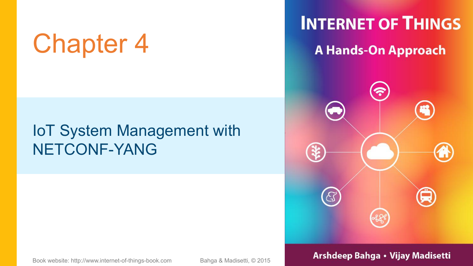# Chapter 4 A Hands-On Approach

### IoT System Management with NETCONF-YANG

### **INTERNET OF THINGS**



#### Book website: http://www.internet-of-things-book.com Bahga & Madisetti, © 2015 **Arshdeep Bahga • Vijay Madisetti**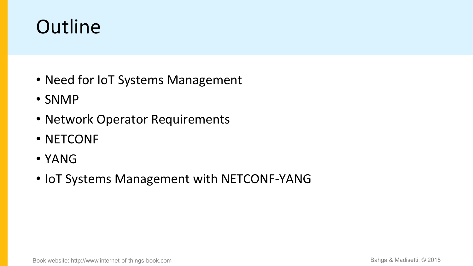### **Outline**

- Need for IoT Systems Management
- SNMP
- Network Operator Requirements
- NETCONF
- YANG
- IoT Systems Management with NETCONF-YANG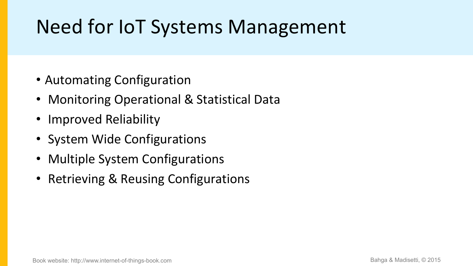### Need for IoT Systems Management

- Automating Configuration
- Monitoring Operational & Statistical Data
- Improved Reliability
- System Wide Configurations
- Multiple System Configurations
- Retrieving & Reusing Configurations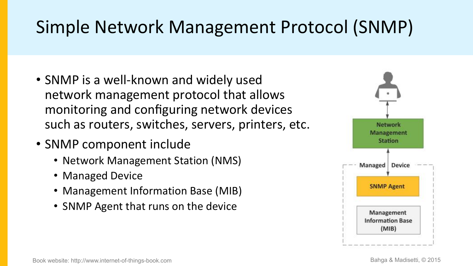### Simple Network Management Protocol (SNMP)

- SNMP is a well-known and widely used network management protocol that allows monitoring and configuring network devices such as routers, switches, servers, printers, etc.
- SNMP component include
	- Network Management Station (NMS)
	- Managed Device
	- Management Information Base (MIB)
	- SNMP Agent that runs on the device

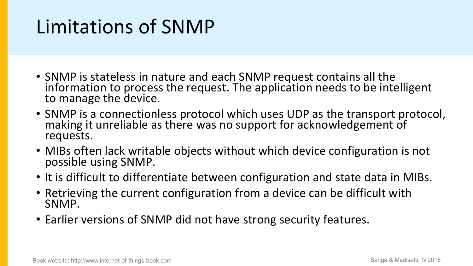### Limitations of SNMP

- SNMP is stateless in nature and each SNMP request contains all the information to process the request. The application needs to be intelligent to manage the device.
- SNMP is a connectionless protocol which uses UDP as the transport protocol, making it unreliable as there was no support for acknowledgement of requests.
- MIBs often lack writable objects without which device configuration is not possible using SNMP.
- It is difficult to differentiate between configuration and state data in MIBs.
- Retrieving the current configuration from a device can be difficult with SNMP.
- Earlier versions of SNMP did not have strong security features.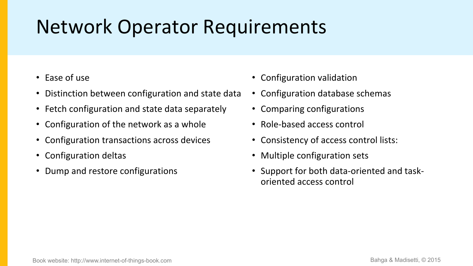### Network Operator Requirements

- Ease of use
- Distinction between configuration and state data
- Fetch configuration and state data separately
- Configuration of the network as a whole
- Configuration transactions across devices
- Configuration deltas
- Dump and restore configurations
- Configuration validation
- Configuration database schemas
- Comparing configurations
- Role-based access control
- Consistency of access control lists:
- Multiple configuration sets
- Support for both data-oriented and task oriented access control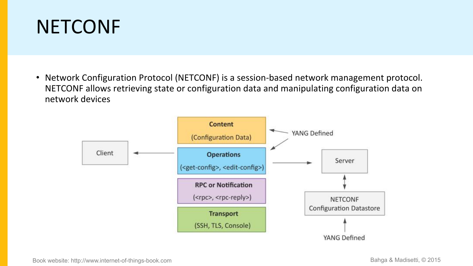### **NETCONF**

• Network Configuration Protocol (NETCONF) is a session-based network management protocol. NETCONF allows retrieving state or configuration data and manipulating configuration data on network devices

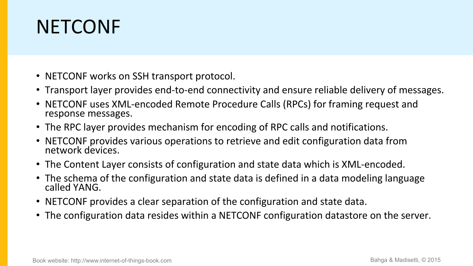### NETCONF

- NETCONF works on SSH transport protocol.
- Transport layer provides end-to-end connectivity and ensure reliable delivery of messages.
- NETCONF uses XML-encoded Remote Procedure Calls (RPCs) for framing request and response messages.
- The RPC layer provides mechanism for encoding of RPC calls and notifications.
- NETCONF provides various operations to retrieve and edit configuration data from network devices.
- The Content Layer consists of configuration and state data which is XML-encoded.
- The schema of the configuration and state data is defined in a data modeling language called YANG.
- NETCONF provides a clear separation of the configuration and state data.
- The configuration data resides within a NETCONF configuration datastore on the server.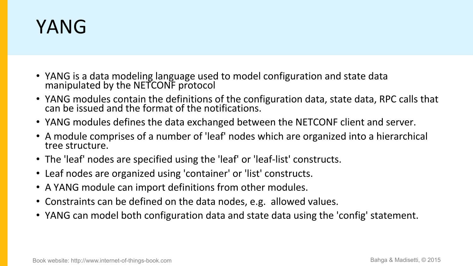### YANG

- YANG is a data modeling language used to model configuration and state data manipulated by the NETCONF protocol
- YANG modules contain the definitions of the configuration data, state data, RPC calls that can be issued and the format of the notifications.
- YANG modules defines the data exchanged between the NETCONF client and server.
- A module comprises of a number of 'leaf' nodes which are organized into a hierarchical tree structure.
- The 'leaf' nodes are specified using the 'leaf' or 'leaf-list' constructs.
- Leaf nodes are organized using 'container' or 'list' constructs.
- A YANG module can import definitions from other modules.
- Constraints can be defined on the data nodes, e.g. allowed values.
- YANG can model both configuration data and state data using the 'config' statement.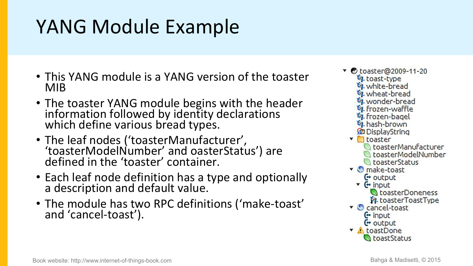### YANG Module Example

- This YANG module is a YANG version of the toaster<br>MIB<br>MIB MIB **MID**
- The toaster YANG module begins with the header stread information followed by identity declarations<br>which define various bread types. which define various bread types.
- The leaf nodes ('toasterManufacturer',  $\mathcal{L}$ ,  $\mathcal{L}$ 'toasterModelNumber' and oasterStatus') are defined in the 'toaster'container.
- Each leaf node definition has a type and optionally<br>a description and default value a description and default value.
- The module has two RPC definitions ('make-toast' verbancel-toast and 'cancel-toast').
- 4. wheat-bread **DisplayString** toaster toasterStatus CoasterDoneness **14. toasterToastType**  $F$  input  $C$  output v **A** toastDone **CoastStatus**